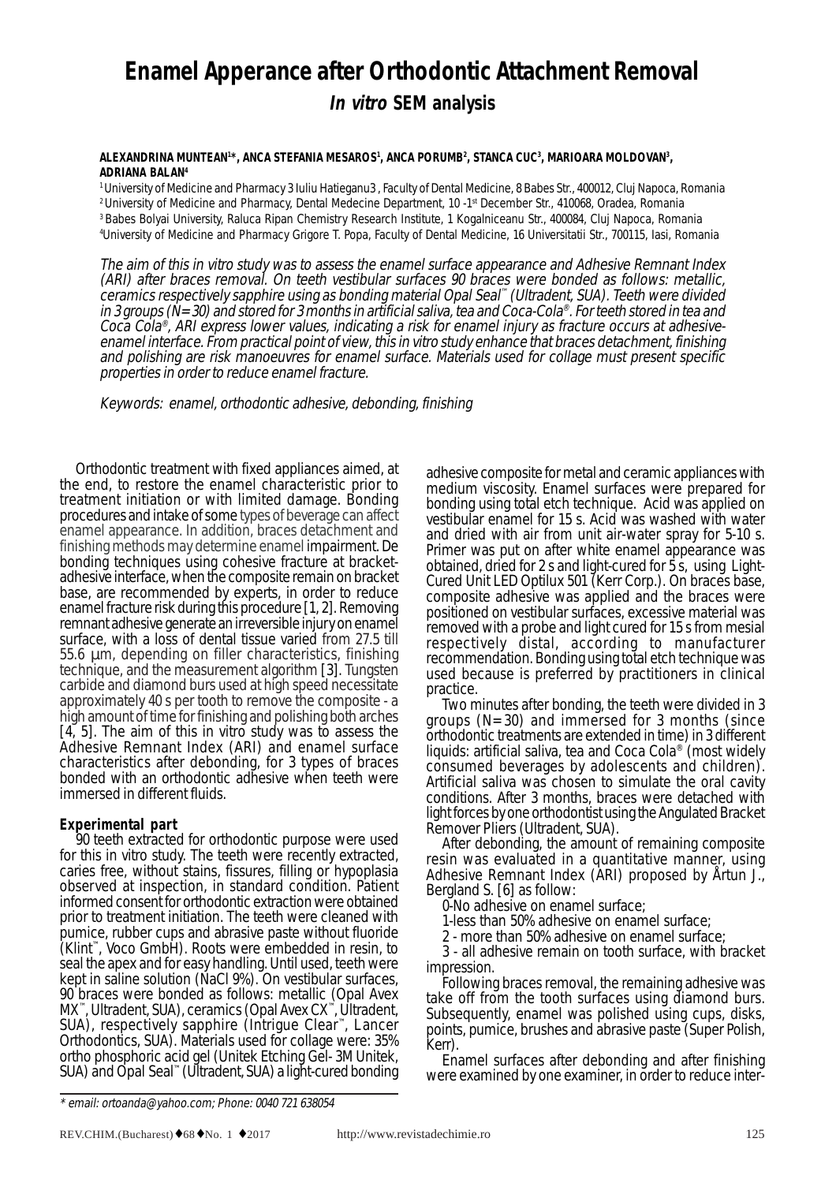# **Enamel Apperance after Orthodontic Attachment Removal In vitro SEM analysis**

#### **ALEXANDRINA MUNTEAN1 \*, ANCA STEFANIA MESAROS1 , ANCA PORUMB2 , STANCA CUC3 , MARIOARA MOLDOVAN3 , ADRIANA BALAN4**

1 University of Medicine and Pharmacy 3 Iuliu Hatieganu3 , Faculty of Dental Medicine, 8 Babes Str., 400012, Cluj Napoca, Romania <sup>2</sup> University of Medicine and Pharmacy, Dental Medecine Department, 10 -1<sup>st</sup> December Str., 410068, Oradea, Romania 3 Babes Bolyai University, Raluca Ripan Chemistry Research Institute, 1 Kogalniceanu Str., 400084, Cluj Napoca, Romania 4 University of Medicine and Pharmacy Grigore T. Popa, Faculty of Dental Medicine, 16 Universitatii Str., 700115, Iasi, Romania

The aim of this in vitro study was to assess the enamel surface appearance and Adhesive Remnant Index (ARI) after braces removal. On teeth vestibular surfaces 90 braces were bonded as follows: metallic, ceramics respectively sapphire using as bonding material Opal Seal™ (Ultradent, SUA). Teeth were divided in 3 groups ( $\dot{N}=30$ ) and stored for 3 months in artificial saliva, tea and Coca-Cola®. For teeth stored in tea and Coca Cola®, ARI express lower values, indicating a risk for enamel injury as fracture occurs at adhesiveenamel interface. From practical point of view, this in vitro study enhance that braces detachment, finishing and polishing are risk manoeuvres for enamel surface. Materials used for collage must present specific properties in order to reduce enamel fracture.

Keywords: enamel, orthodontic adhesive, debonding, finishing

Orthodontic treatment with fixed appliances aimed, at the end, to restore the enamel characteristic prior to treatment initiation or with limited damage. Bonding procedures and intake of some types of beverage can affect enamel appearance. In addition, braces detachment and finishing methods may determine enamel impairment. De bonding techniques using cohesive fracture at bracketadhesive interface, when the composite remain on bracket base, are recommended by experts, in order to reduce enamel fracture risk during this procedure [1, 2]. Removing remnant adhesive generate an irreversible injury on enamel surface, with a loss of dental tissue varied from 27.5 till 55.6 µm, depending on filler characteristics, finishing technique, and the measurement algorithm [3]. Tungsten carbide and diamond burs used at high speed necessitate approximately 40 s per tooth to remove the composite - a high amount of time for finishing and polishing both arches [4, 5]. The aim of this in vitro study was to assess the Adhesive Remnant Index (ARI) and enamel surface characteristics after debonding, for 3 types of braces bonded with an orthodontic adhesive when teeth were immersed in different fluids.

## **Experimental part**

90 teeth extracted for orthodontic purpose were used for this in vitro study. The teeth were recently extracted, caries free, without stains, fissures, filling or hypoplasia observed at inspection, in standard condition. Patient informed consent for orthodontic extraction were obtained prior to treatment initiation. The teeth were cleaned with pumice, rubber cups and abrasive paste without fluoride (Klint™, Voco GmbH). Roots were embedded in resin, to seal the apex and for easy handling. Until used, teeth were kept in saline solution (NaCl 9%). On vestibular surfaces, 90 braces were bonded as follows: metallic (Opal Avex MX™, Ultradent, SUA), ceramics (Opal Avex CX™, Ultradent, SUA), respectively sapphire (Intrigue Clear™, Lancer Orthodontics, SUA). Materials used for collage were: 35% ortho phosphoric acid gel (Unitek Etching Gel- 3M Unitek, SUA) and Opal Seal™ (Ultradent, SUA) a light-cured bonding adhesive composite for metal and ceramic appliances with medium viscosity. Enamel surfaces were prepared for bonding using total etch technique. Acid was applied on vestibular enamel for 15 s. Acid was washed with water and dried with air from unit air-water spray for 5-10 s. Primer was put on after white enamel appearance was obtained, dried for 2 s and light-cured for 5 s, using Light-Cured Unit LED Optilux 501 (Kerr Corp.). On braces base, composite adhesive was applied and the braces were positioned on vestibular surfaces, excessive material was removed with a probe and light cured for 15 s from mesial respectively distal, according to manufacturer recommendation. Bonding using total etch technique was used because is preferred by practitioners in clinical practice.<br>Two minutes after bonding, the teeth were divided in 3

groups  $(N=30)$  and immersed for 3 months (since orthodontic treatments are extended in time) in 3 different liquids: artificial saliva, tea and Coca Cola® (most widely consumed beverages by adolescents and children). Artificial saliva was chosen to simulate the oral cavity conditions. After 3 months, braces were detached with light forces by one orthodontist using the Angulated Bracket

Remover Pliers (Ultradent, SUA).<br>After debonding, the amount of remaining composite resin was evaluated in a quantitative manner, using Adhesive Remnant Index (ARI) proposed by Årtun J.,<br>Bergland S. [6] as follow:

0-No adhesive on enamel surface;

1-less than 50% adhesive on enamel surface;

2 - more than 50% adhesive on enamel surface;

3 - all adhesive remain on tooth surface, with bracket

impression.<br>Following braces removal, the remaining adhesive was take off from the tooth surfaces using diamond burs. Subsequently, enamel was polished using cups, disks, points, pumice, brushes and abrasive paste (Super Polish, Kerr).

Enamel surfaces after debonding and after finishing were examined by one examiner, in order to reduce inter-

<sup>\*</sup> email: ortoanda@yahoo.com; Phone: 0040 721 638054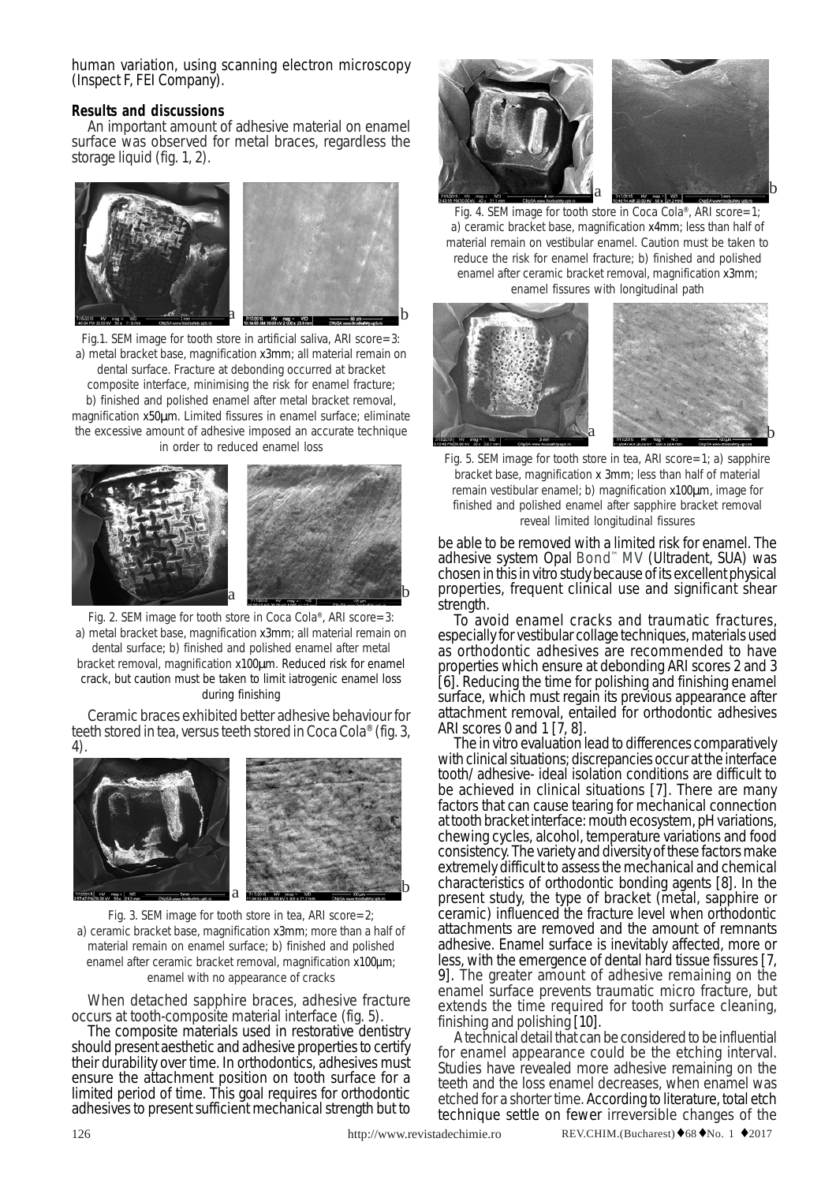human variation, using scanning electron microscopy (Inspect F, FEI Company).

## **Results and discussions**

An important amount of adhesive material on enamel surface was observed for metal braces, regardless the storage liquid (fig. 1, 2).



Fig.1. SEM image for tooth store in artificial saliva, ARI score=3: a) metal bracket base, magnification x3mm; all material remain on dental surface. Fracture at debonding occurred at bracket composite interface, minimising the risk for enamel fracture; b) finished and polished enamel after metal bracket removal, magnification x50µm. Limited fissures in enamel surface; eliminate the excessive amount of adhesive imposed an accurate technique in order to reduced enamel loss



Fig. 2. SEM image for tooth store in Coca Cola®, ARI score=3: a) metal bracket base, magnification x3mm; all material remain on dental surface; b) finished and polished enamel after metal bracket removal, magnification x100µm. Reduced risk for enamel crack, but caution must be taken to limit iatrogenic enamel loss during finishing

Ceramic braces exhibited better adhesive behaviour for teeth stored in tea, versus teeth stored in Coca Cola® (fig. 3,<br>4).



Fig. 3. SEM image for tooth store in tea, ARI score=2; a) ceramic bracket base, magnification x3mm; more than a half of material remain on enamel surface; b) finished and polished enamel after ceramic bracket removal, magnification x100µm; enamel with no appearance of cracks

When detached sapphire braces, adhesive fracture occurs at tooth-composite material interface (fig. 5).

The composite materials used in restorative dentistry should present aesthetic and adhesive properties to certify their durability over time. In orthodontics, adhesives must ensure the attachment position on tooth surface for a limited period of time. This goal requires for orthodontic adhesives to present sufficient mechanical strength but to





Fig. 4. SEM image for tooth store in Coca Cola®, ARI score=1; a) ceramic bracket base, magnification x4mm; less than half of material remain on vestibular enamel. Caution must be taken to reduce the risk for enamel fracture; b) finished and polished enamel after ceramic bracket removal, magnification x3mm; enamel fissures with longitudinal path



Fig. 5. SEM image for tooth store in tea, ARI score=1; a) sapphire bracket base, magnification x 3mm; less than half of material remain vestibular enamel; b) magnification x100µm, image for finished and polished enamel after sapphire bracket removal reveal limited longitudinal fissures

be able to be removed with a limited risk for enamel. The adhesive system Opal Bond™ MV (Ultradent, SUA) was chosen in this in vitro study because of its excellent physical properties, frequent clinical use and significant shear strength.

To avoid enamel cracks and traumatic fractures, especially for vestibular collage techniques, materials used as orthodontic adhesives are recommended to have properties which ensure at debonding ARI scores 2 and 3 [6]. Reducing the time for polishing and finishing enamel surface, which must regain its previous appearance after attachment removal, entailed for orthodontic adhesives ARI scores 0 and 1 [7, 8].

The in vitro evaluation lead to differences comparatively with clinical situations; discrepancies occur at the interface tooth/ adhesive- ideal isolation conditions are difficult to be achieved in clinical situations [7]. There are many factors that can cause tearing for mechanical connection at tooth bracket interface: mouth ecosystem, pH variations, chewing cycles, alcohol, temperature variations and food consistency. The variety and diversity of these factors make extremely difficult to assess the mechanical and chemical characteristics of orthodontic bonding agents [8]. In the present study, the type of bracket (metal, sapphire or ceramic) influenced the fracture level when orthodontic attachments are removed and the amount of remnants adhesive. Enamel surface is inevitably affected, more or less, with the emergence of dental hard tissue fissures [7, 9]. The greater amount of adhesive remaining on the enamel surface prevents traumatic micro fracture, but extends the time required for tooth surface cleaning, finishing and polishing [10].

A technical detail that can be considered to be influential for enamel appearance could be the etching interval. Studies have revealed more adhesive remaining on the teeth and the loss enamel decreases, when enamel was etched for a shorter time. According to literature, total etch technique settle on fewer irreversible changes of the